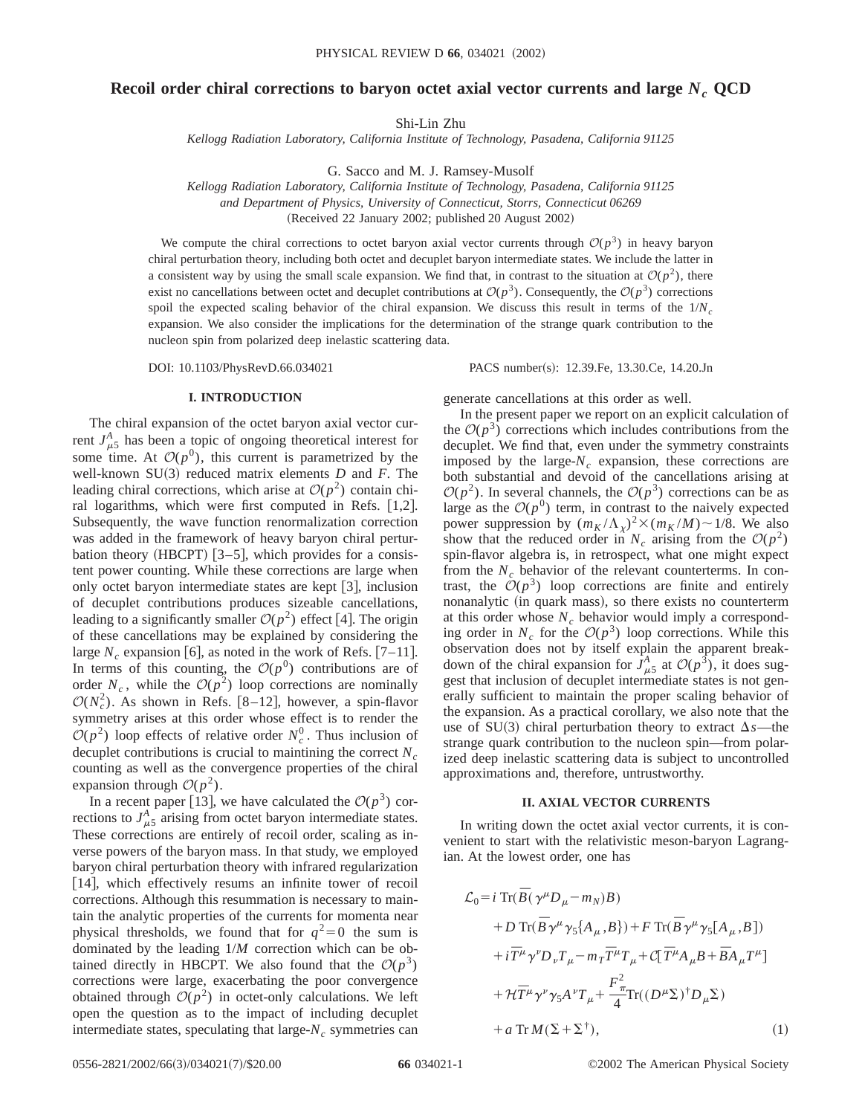# **Recoil order chiral corrections to baryon octet axial vector currents and large**  $N_c$  QCD

Shi-Lin Zhu

*Kellogg Radiation Laboratory, California Institute of Technology, Pasadena, California 91125*

G. Sacco and M. J. Ramsey-Musolf

*Kellogg Radiation Laboratory, California Institute of Technology, Pasadena, California 91125 and Department of Physics, University of Connecticut, Storrs, Connecticut 06269*

(Received 22 January 2002; published 20 August 2002)

We compute the chiral corrections to octet baryon axial vector currents through  $\mathcal{O}(p^3)$  in heavy baryon chiral perturbation theory, including both octet and decuplet baryon intermediate states. We include the latter in a consistent way by using the small scale expansion. We find that, in contrast to the situation at  $\mathcal{O}(p^2)$ , there exist no cancellations between octet and decuplet contributions at  $\mathcal{O}(p^3)$ . Consequently, the  $\mathcal{O}(p^3)$  corrections spoil the expected scaling behavior of the chiral expansion. We discuss this result in terms of the  $1/N_c$ expansion. We also consider the implications for the determination of the strange quark contribution to the nucleon spin from polarized deep inelastic scattering data.

DOI: 10.1103/PhysRevD.66.034021 PACS number(s): 12.39.Fe, 13.30.Ce, 14.20.Jn

### **I. INTRODUCTION**

The chiral expansion of the octet baryon axial vector current  $J_{\mu 5}^A$  has been a topic of ongoing theoretical interest for some time. At  $\mathcal{O}(p^0)$ , this current is parametrized by the well-known  $SU(3)$  reduced matrix elements *D* and *F*. The leading chiral corrections, which arise at  $O(p^2)$  contain chiral logarithms, which were first computed in Refs.  $[1,2]$ . Subsequently, the wave function renormalization correction was added in the framework of heavy baryon chiral perturbation theory (HBCPT)  $[3-5]$ , which provides for a consistent power counting. While these corrections are large when only octet baryon intermediate states are kept  $\lceil 3 \rceil$ , inclusion of decuplet contributions produces sizeable cancellations, leading to a significantly smaller  $\mathcal{O}(p^2)$  effect [4]. The origin of these cancellations may be explained by considering the large  $N_c$  expansion [6], as noted in the work of Refs. [7–11]. In terms of this counting, the  $O(p^0)$  contributions are of order  $N_c$ , while the  $\mathcal{O}(p^2)$  loop corrections are nominally  $\mathcal{O}(N_c^2)$ . As shown in Refs. [8–12], however, a spin-flavor symmetry arises at this order whose effect is to render the  $\mathcal{O}(p^2)$  loop effects of relative order  $N_c^0$ . Thus inclusion of decuplet contributions is crucial to maintining the correct  $N_c$ counting as well as the convergence properties of the chiral expansion through  $\mathcal{O}(p^2)$ .

In a recent paper [13], we have calculated the  $O(p^3)$  corrections to  $J_{\mu 5}^A$  arising from octet baryon intermediate states. These corrections are entirely of recoil order, scaling as inverse powers of the baryon mass. In that study, we employed baryon chiral perturbation theory with infrared regularization [14], which effectively resums an infinite tower of recoil corrections. Although this resummation is necessary to maintain the analytic properties of the currents for momenta near physical thresholds, we found that for  $q^2=0$  the sum is dominated by the leading 1/*M* correction which can be obtained directly in HBCPT. We also found that the  $O(p^3)$ corrections were large, exacerbating the poor convergence obtained through  $O(p^2)$  in octet-only calculations. We left open the question as to the impact of including decuplet intermediate states, speculating that large- $N_c$  symmetries can generate cancellations at this order as well.

In the present paper we report on an explicit calculation of the  $O(p^3)$  corrections which includes contributions from the decuplet. We find that, even under the symmetry constraints imposed by the large- $N_c$  expansion, these corrections are both substantial and devoid of the cancellations arising at  $\mathcal{O}(p^2)$ . In several channels, the  $\mathcal{O}(p^3)$  corrections can be as large as the  $O(p^0)$  term, in contrast to the naively expected power suppression by  $(m_K/\Lambda_\chi)^2 \times (m_K/M) \sim 1/8$ . We also show that the reduced order in  $N_c$  arising from the  $O(p^2)$ spin-flavor algebra is, in retrospect, what one might expect from the  $N_c$  behavior of the relevant counterterms. In contrast, the  $O(p^3)$  loop corrections are finite and entirely nonanalytic (in quark mass), so there exists no counterterm at this order whose  $N_c$  behavior would imply a corresponding order in  $N_c$  for the  $O(p^3)$  loop corrections. While this observation does not by itself explain the apparent breakdown of the chiral expansion for  $J_{\mu5}^A$  at  $\mathcal{O}(p^3)$ , it does suggest that inclusion of decuplet intermediate states is not generally sufficient to maintain the proper scaling behavior of the expansion. As a practical corollary, we also note that the use of SU(3) chiral perturbation theory to extract  $\Delta s$ —the strange quark contribution to the nucleon spin—from polarized deep inelastic scattering data is subject to uncontrolled approximations and, therefore, untrustworthy.

#### **II. AXIAL VECTOR CURRENTS**

In writing down the octet axial vector currents, it is convenient to start with the relativistic meson-baryon Lagrangian. At the lowest order, one has

$$
\mathcal{L}_0 = i \operatorname{Tr} (\bar{B} (\gamma^{\mu} D_{\mu} - m_N) B) \n+ D \operatorname{Tr} (\bar{B} \gamma^{\mu} \gamma_5 \{ A_{\mu}, B \}) + F \operatorname{Tr} (\bar{B} \gamma^{\mu} \gamma_5 [A_{\mu}, B]) \n+ i \bar{T}^{\mu} \gamma^{\nu} D_{\nu} T_{\mu} - m_T \bar{T}^{\mu} T_{\mu} + C [\bar{T}^{\mu} A_{\mu} B + \bar{B} A_{\mu} T^{\mu}] \n+ \mathcal{H} \bar{T}^{\mu} \gamma^{\nu} \gamma_5 A^{\nu} T_{\mu} + \frac{F_{\pi}^2}{4} \operatorname{Tr} ((D^{\mu} \Sigma)^{\dagger} D_{\mu} \Sigma) \n+ a \operatorname{Tr} M (\Sigma + \Sigma^{\dagger}),
$$
\n(1)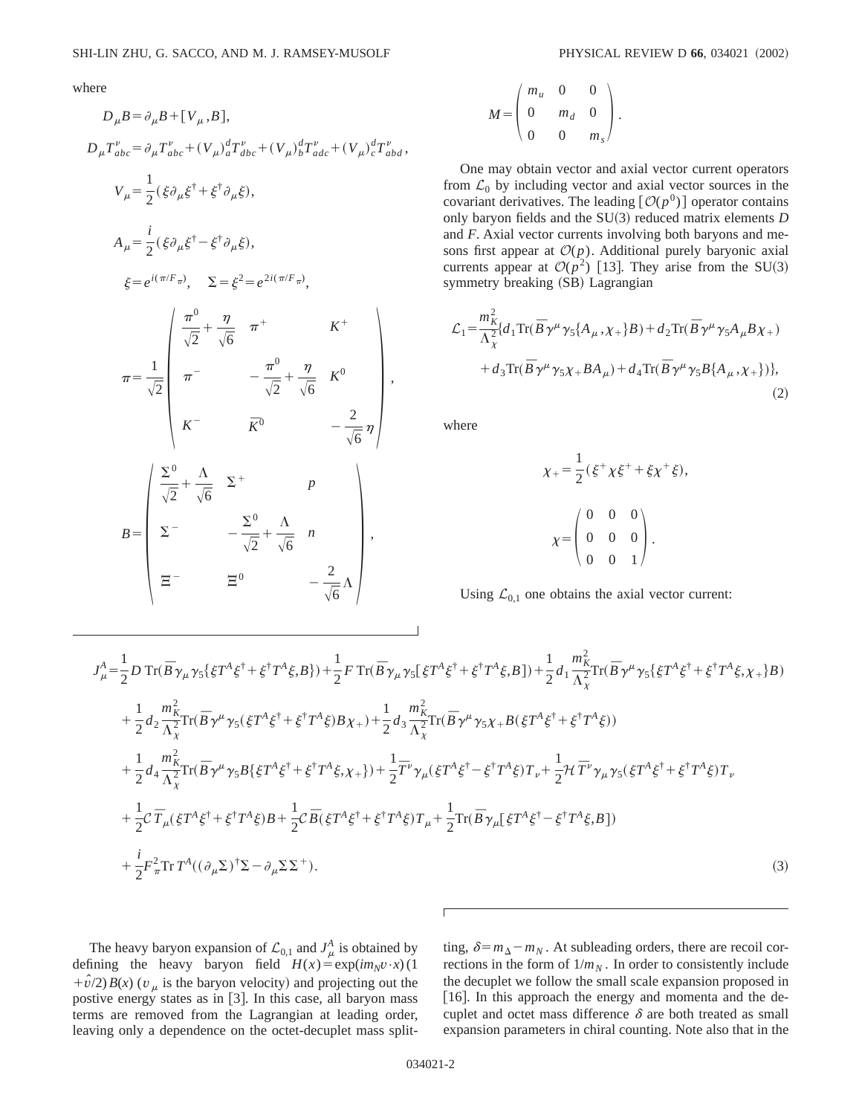$$
D_{\mu}B = \partial_{\mu}B + [V_{\mu}, B],
$$
  
\n
$$
D_{\mu}T_{abc}^{v} = \partial_{\mu}T_{abc}^{v} + (V_{\mu})_{a}^{d}T_{abc}^{v} + (V_{\mu})_{b}^{d}T_{adc}^{v} + (V_{\mu})_{c}^{d}T_{abd}^{v},
$$
  
\n
$$
V_{\mu} = \frac{1}{2}(\xi\partial_{\mu}\xi^{\dagger} + \xi^{\dagger}\partial_{\mu}\xi),
$$
  
\n
$$
\xi = e^{i(\pi/F_{\pi})}, \quad \Sigma = \xi^{2} = e^{2i(\pi/F_{\pi})},
$$
  
\n
$$
\xi = e^{i(\pi/F_{\pi})}, \quad \Sigma = \xi^{2} = e^{2i(\pi/F_{\pi})},
$$
  
\n
$$
\pi = \frac{1}{\sqrt{2}} \begin{pmatrix} \frac{\pi^{0}}{\sqrt{2}} + \frac{\eta}{\sqrt{6}} & \pi^{+} & K^{+} \\ \pi^{-} & -\frac{\pi^{0}}{\sqrt{2}} + \frac{\eta}{\sqrt{6}} & K^{0} \\ K^{-} & \bar{K}^{0} & -\frac{2}{\sqrt{6}}\eta \end{pmatrix},
$$
  
\n
$$
B = \begin{pmatrix} \frac{\Sigma^{0}}{\sqrt{2}} + \frac{\Lambda}{\sqrt{6}} & \Sigma^{+} & p \\ \Sigma^{-} & -\frac{\Sigma^{0}}{\sqrt{2}} + \frac{\Lambda}{\sqrt{6}} & n \\ \Xi^{-} & \Xi^{0} & -\frac{2}{\sqrt{6}\Lambda} \end{pmatrix},
$$

$$
M = \begin{pmatrix} m_u & 0 & 0 \\ 0 & m_d & 0 \\ 0 & 0 & m_s \end{pmatrix}.
$$

One may obtain vector and axial vector current operators from  $\mathcal{L}_0$  by including vector and axial vector sources in the covariant derivatives. The leading  $[O(p^0)]$  operator contains only baryon fields and the SU(3) reduced matrix elements *D* and *F*. Axial vector currents involving both baryons and mesons first appear at  $O(p)$ . Additional purely baryonic axial currents appear at  $\mathcal{O}(p^2)$  [13]. They arise from the SU(3) symmetry breaking (SB) Lagrangian

$$
\mathcal{L}_1 = \frac{m_K^2}{\Lambda_\chi^2} \{ d_1 \text{Tr}(\overline{B} \gamma^\mu \gamma_5 \{ A_\mu, \chi_+ \} B) + d_2 \text{Tr}(\overline{B} \gamma^\mu \gamma_5 A_\mu B \chi_+) + d_3 \text{Tr}(\overline{B} \gamma^\mu \gamma_5 \chi_+ B A_\mu) + d_4 \text{Tr}(\overline{B} \gamma^\mu \gamma_5 B \{ A_\mu, \chi_+ \}) \},
$$
\n(2)

where

$$
\chi_{+} = \frac{1}{2} (\xi^{+} \chi \xi^{+} + \xi \chi^{+} \xi),
$$

$$
\chi = \begin{pmatrix} 0 & 0 & 0 \\ 0 & 0 & 0 \\ 0 & 0 & 1 \end{pmatrix}.
$$

Using  $\mathcal{L}_{0,1}$  one obtains the axial vector current:

$$
J_{\mu}^{A} = \frac{1}{2}D \operatorname{Tr}(\bar{B}\gamma_{\mu}\gamma_{5}\{\xi T^{A}\xi^{\dagger} + \xi^{\dagger}T^{A}\xi, B\}) + \frac{1}{2}F \operatorname{Tr}(\bar{B}\gamma_{\mu}\gamma_{5}[\xi T^{A}\xi^{\dagger} + \xi^{\dagger}T^{A}\xi, B]) + \frac{1}{2}d_{1}\frac{m_{K}^{2}}{\Lambda_{\chi}^{2}} \operatorname{Tr}(\bar{B}\gamma^{\mu}\gamma_{5}\{\xi T^{A}\xi^{\dagger} + \xi^{\dagger}T^{A}\xi, \chi_{+}\}B)
$$
  
+ 
$$
\frac{1}{2}d_{2}\frac{m_{K}^{2}}{\Lambda_{\chi}^{2}} \operatorname{Tr}(\bar{B}\gamma^{\mu}\gamma_{5}(\xi T^{A}\xi^{\dagger} + \xi^{\dagger}T^{A}\xi)B\chi_{+}) + \frac{1}{2}d_{3}\frac{m_{K}^{2}}{\Lambda_{\chi}^{2}} \operatorname{Tr}(\bar{B}\gamma^{\mu}\gamma_{5}\chi_{+}B(\xi T^{A}\xi^{\dagger} + \xi^{\dagger}T^{A}\xi))
$$
  
+ 
$$
\frac{1}{2}d_{4}\frac{m_{K}^{2}}{\Lambda_{\chi}^{2}} \operatorname{Tr}(\bar{B}\gamma^{\mu}\gamma_{5}B\{\xi T^{A}\xi^{\dagger} + \xi^{\dagger}T^{A}\xi, \chi_{+}\}) + \frac{1}{2}\overline{T}^{\nu}\gamma_{\mu}(\xi T^{A}\xi^{\dagger} - \xi^{\dagger}T^{A}\xi)T_{\nu} + \frac{1}{2}\mathcal{H}\overline{T}^{\nu}\gamma_{\mu}\gamma_{5}(\xi T^{A}\xi^{\dagger} + \xi^{\dagger}T^{A}\xi)T_{\nu}
$$
  
+ 
$$
\frac{1}{2}C\overline{T}_{\mu}(\xi T^{A}\xi^{\dagger} + \xi^{\dagger}T^{A}\xi)B + \frac{1}{2}C\overline{B}(\xi T^{A}\xi^{\dagger} + \xi^{\dagger}T^{A}\xi)T_{\mu} + \frac{1}{2}\operatorname{Tr}(\overline{B}\gamma_{\mu}[\xi T^{A}\xi^{\dagger} - \xi^{\dagger}T^{A}\xi, B])
$$
  
+ 
$$
\frac{i}{2}F_{\pi}^{2}\operator
$$

The heavy baryon expansion of  $\mathcal{L}_{0,1}$  and  $J^A_\mu$  is obtained by defining the heavy baryon field  $H(x) = \exp(im_Nv \cdot x)$  (1  $+\hat{v}/2$ *(<i>x*) (*v*<sub>m</sub> is the baryon velocity) and projecting out the postive energy states as in [3]. In this case, all baryon mass terms are removed from the Lagrangian at leading order, leaving only a dependence on the octet-decuplet mass split-

ting,  $\delta = m_{\Delta} - m_N$ . At subleading orders, there are recoil corrections in the form of  $1/m_N$ . In order to consistently include the decuplet we follow the small scale expansion proposed in [16]. In this approach the energy and momenta and the decuplet and octet mass difference  $\delta$  are both treated as small expansion parameters in chiral counting. Note also that in the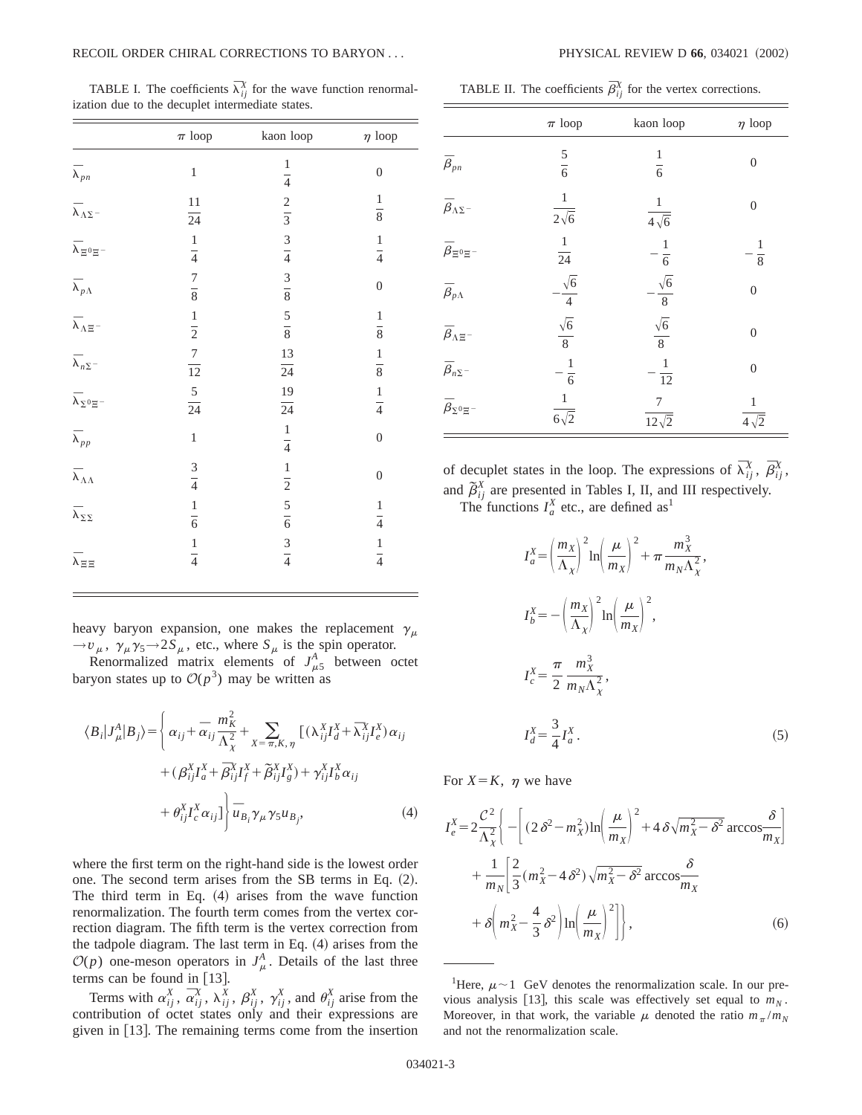TABLE I. The coefficients  $\overline{\lambda}_{ij}^X$  for the wave function renormalization due to the decuplet intermediate states.

|                                            | $\pi$ loop                | kaon loop                   | $\eta$ loop      |
|--------------------------------------------|---------------------------|-----------------------------|------------------|
| $\bar{\lambda}_{pn}$                       | $\,1$                     | $\,1$<br>$\frac{1}{4}$      | $\boldsymbol{0}$ |
| $\overline{\lambda}_{\Lambda\Sigma}$ -     | $11\,$<br>$\overline{24}$ | $rac{2}{3}$                 | $\frac{1}{8}$    |
| $\overline{\lambda}_{\, \Xi^0 \Xi^{\,-} }$ | $\frac{1}{4}$             | $rac{3}{4}$                 | $\frac{1}{4}$    |
| $\overline{\lambda}_{p\Lambda}$            | $\frac{7}{8}$             | $\frac{3}{8}$ $\frac{5}{8}$ | $\boldsymbol{0}$ |
| $\bar{\lambda}_{\Lambda\Xi^-}$             | $\frac{1}{2}$             |                             | $\frac{1}{8}$    |
| $\overline{\lambda}_{n \Sigma}$ –          | $\frac{7}{12}$            | $\frac{13}{24}$             | $\frac{1}{8}$    |
| $\overline{\lambda}_{\Sigma^0\Xi^-}$       | $\frac{5}{24}$            | 19<br>$\overline{24}$       | $\frac{1}{4}$    |
| $\overline{\lambda}_{pp}$                  | $\mathbf{1}$              | $\frac{1}{4}$               | $\boldsymbol{0}$ |
| $\bar{\lambda}_{\Lambda\Lambda}$           | $rac{3}{4}$               | $\frac{1}{2}$               | $\boldsymbol{0}$ |
| $\overline{\lambda}_{\Sigma\Sigma}$        | $\frac{1}{6}$             | $rac{5}{6}$                 | $\frac{1}{4}$    |
| $\bar{\lambda}_{\Xi\Xi}$                   | $\frac{1}{4}$             | $rac{3}{4}$                 | $\frac{1}{4}$    |

heavy baryon expansion, one makes the replacement  $\gamma_{\mu}$  $\rightarrow v_{\mu}$ ,  $\gamma_{\mu} \gamma_5 \rightarrow 2S_{\mu}$ , etc., where  $S_{\mu}$  is the spin operator.

Renormalized matrix elements of  $J_{\mu 5}^{A}$  between octet baryon states up to  $\mathcal{O}(p^3)$  may be written as

$$
\langle B_i | J_{\mu}^A | B_j \rangle = \left\{ \alpha_{ij} + \overline{\alpha}_{ij} \frac{m_K^2}{\Lambda_{\chi}^2} + \sum_{X = \pi, K, \eta} \left[ (\lambda_{ij}^X I_d^X + \overline{\lambda}_{ij}^X I_e^X) \alpha_{ij} \right. \\ \left. + (\beta_{ij}^X I_a^X + \overline{\beta}_{ij}^X I_f^X + \widetilde{\beta}_{ij}^X I_g^X) + \gamma_{ij}^X I_b^X \alpha_{ij} \right. \\ \left. + \theta_{ij}^X I_c^X \alpha_{ij} \right] \right\} \overline{u}_{B_i} \gamma_{\mu} \gamma_5 u_{B_j}, \tag{4}
$$

where the first term on the right-hand side is the lowest order one. The second term arises from the SB terms in Eq.  $(2)$ . The third term in Eq.  $(4)$  arises from the wave function renormalization. The fourth term comes from the vertex correction diagram. The fifth term is the vertex correction from the tadpole diagram. The last term in Eq.  $(4)$  arises from the  $\mathcal{O}(p)$  one-meson operators in  $J^A_\mu$ . Details of the last three terms can be found in  $[13]$ .

Terms with  $\alpha_{ij}^X$ ,  $\overline{\alpha}_{ij}^X$ ,  $\overline{\alpha}_{ij}^X$ ,  $\beta_{ij}^X$ ,  $\gamma_{ij}^X$ , and  $\theta_{ij}^X$  arise from the contribution of octet states only and their expressions are given in  $[13]$ . The remaining terms come from the insertion

TABLE II. The coefficients  $\bar{\beta}_{ij}^X$  for the vertex corrections.

|                                 | $\pi$ loop                             | kaon loop                  | $\eta$ loop            |
|---------------------------------|----------------------------------------|----------------------------|------------------------|
| $\bar{\beta}_{pn}$              | $\frac{5}{6}$                          | 1<br>$\overline{6}$        | $\theta$               |
| $\bar{\beta}_{\Lambda\Sigma}$ - | $\mathbf{1}$<br>$\overline{2\sqrt{6}}$ | $\frac{1}{4\sqrt{6}}$      | $\overline{0}$         |
| $\bar{\beta}_{\Xi^0\Xi^-}$      | $\frac{1}{24}$                         | $\frac{1}{6}$              | 1<br>$\overline{8}$    |
| $\overline{\beta}_{p\Lambda}$   | $\frac{\sqrt{6}}{4}$                   | $\cdot \frac{\sqrt{6}}{8}$ | $\overline{0}$         |
| $\bar{\beta}_{\Lambda \Xi}$ -   | $\sqrt{6}$<br>$\overline{8}$           | $\frac{\sqrt{6}}{8}$       | $\theta$               |
| $\overline{\beta}_{n \Sigma}$ - | $\,1$<br>$-\frac{1}{6}$                | $\,1\,$<br>$\overline{12}$ | $\Omega$               |
| $\bar{\beta}_{\Sigma^0\Xi^-}$   | $\frac{1}{6\sqrt{2}}$                  | 7<br>$12\sqrt{2}$          | $\overline{4\sqrt{2}}$ |

of decuplet states in the loop. The expressions of  $\overline{\lambda}_{ij}^X$ ,  $\overline{\beta}_{ij}^X$ , and  $\tilde{\beta}_{ij}^X$  are presented in Tables I, II, and III respectively. The functions  $I_a^X$  etc., are defined as<sup>1</sup>

$$
I_a^X = \left(\frac{m_X}{\Lambda_\chi}\right)^2 \ln\left(\frac{\mu}{m_X}\right)^2 + \pi \frac{m_X^3}{m_N \Lambda_\chi^2},
$$
  
\n
$$
I_b^X = -\left(\frac{m_X}{\Lambda_\chi}\right)^2 \ln\left(\frac{\mu}{m_X}\right)^2,
$$
  
\n
$$
I_c^X = \frac{\pi}{2} \frac{m_X^3}{m_N \Lambda_\chi^2},
$$
  
\n
$$
I_d^X = \frac{3}{4} I_a^X.
$$
\n(5)

For  $X = K$ ,  $\eta$  we have

$$
I_e^X = 2\frac{\mathcal{C}^2}{\Lambda_X^2} \left\{ - \left[ (2\delta^2 - m_X^2) \ln \left( \frac{\mu}{m_X} \right)^2 + 4\delta \sqrt{m_X^2 - \delta^2} \arccos \frac{\delta}{m_X} \right] + \frac{1}{m_N} \left[ \frac{2}{3} (m_X^2 - 4\delta^2) \sqrt{m_X^2 - \delta^2} \arccos \frac{\delta}{m_X} + \delta \left( m_X^2 - \frac{4}{3} \delta^2 \right) \ln \left( \frac{\mu}{m_X} \right)^2 \right] \right\},
$$
 (6)

<sup>&</sup>lt;sup>1</sup>Here,  $\mu$  ~ 1 GeV denotes the renormalization scale. In our previous analysis [13], this scale was effectively set equal to  $m<sub>N</sub>$ . Moreover, in that work, the variable  $\mu$  denoted the ratio  $m_{\pi}/m_N$ and not the renormalization scale.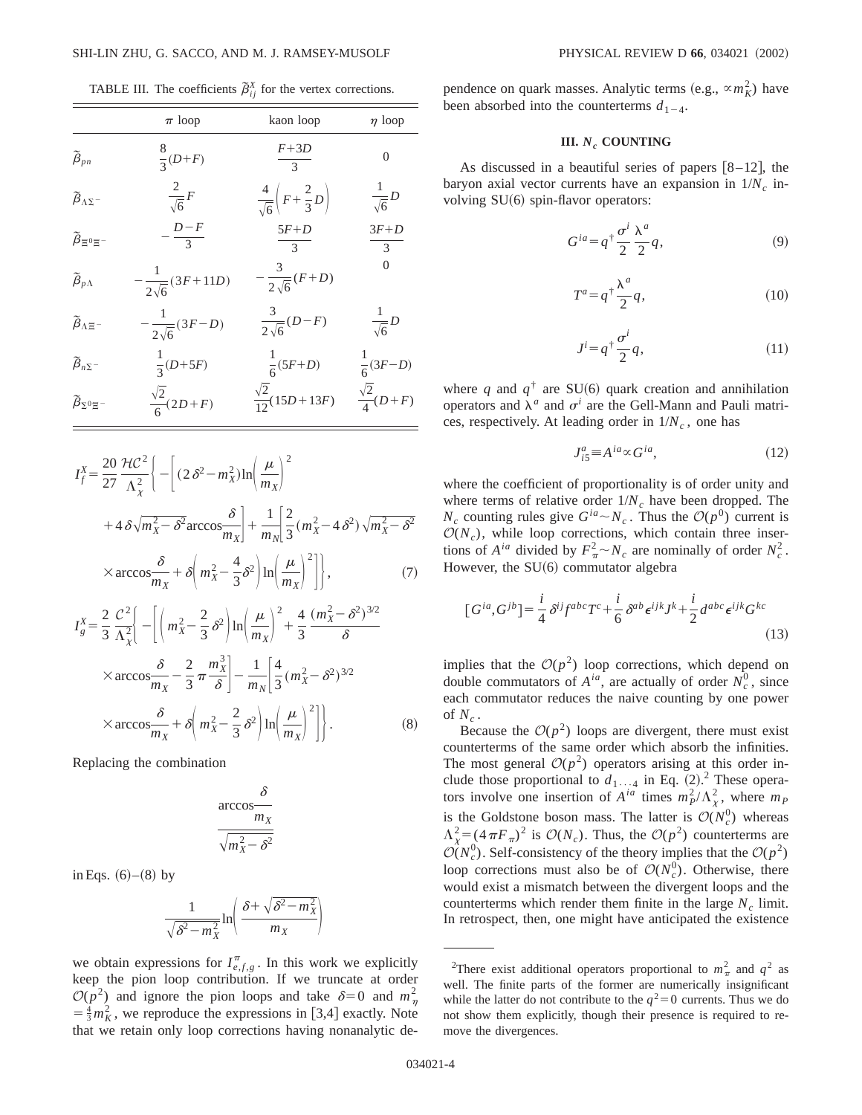TABLE III. The coefficients  $\tilde{\beta}_{ij}^X$  for the vertex corrections.

|                                       | $\pi$ loop                     | kaon loop                                       | $\eta$ loop               |
|---------------------------------------|--------------------------------|-------------------------------------------------|---------------------------|
| $\widetilde{\beta}_{pn}$              | $\frac{8}{3}(D+F)$             | $rac{F+3D}{3}$                                  | $\theta$                  |
| $\widetilde{\beta}_{\Lambda\Sigma}$ - | $\frac{2}{\sqrt{6}}F$          | $\frac{4}{\sqrt{6}}\left(F+\frac{2}{3}D\right)$ | $\frac{1}{\sqrt{6}}D$     |
| $\widetilde{\beta}_{\Xi^0\Xi^-}$      | $-\frac{D-F}{3}$               | $\frac{5F+D}{3}$                                | $3F+D$<br>$\mathfrak{Z}$  |
| $\widetilde{\beta}_{p\Lambda}$        | $-\frac{1}{2\sqrt{6}}(3F+11D)$ | $-\frac{3}{2\sqrt{6}}(F+D)$                     | $\theta$                  |
| $\widetilde{\beta}_{\Lambda \Xi^-}$   | $-\frac{1}{2\sqrt{6}}(3F-D)$   | $\frac{3}{2\sqrt{6}}(D-F)$                      | $\frac{1}{\sqrt{6}}D$     |
| $\widetilde{\beta}_{n\Sigma}$ -       | $\frac{1}{3}(D+5F)$            | $\frac{1}{6}(5F+D)$                             | $\frac{1}{6}(3F-D)$       |
| $\widetilde{\beta}_{\Sigma^0 \Xi^-}$  | $\frac{\sqrt{2}}{6}(2D+F)$     | $\frac{\sqrt{2}}{12}(15D+13F)$                  | $\frac{\sqrt{2}}{4}(D+F)$ |

$$
I_f^X = \frac{20}{27} \frac{\mathcal{H}C^2}{\Lambda_X^2} \Bigg\{ - \Bigg[ (2 \delta^2 - m_X^2) \ln \Bigg( \frac{\mu}{m_X} \Bigg)^2 + 4 \delta \sqrt{m_X^2 - \delta^2} \arccos \frac{\delta}{m_X} \Bigg] + \frac{1}{m_N} \Bigg[ \frac{2}{3} (m_X^2 - 4 \delta^2) \sqrt{m_X^2 - \delta^2} \times \arccos \frac{\delta}{m_X} + \delta \Bigg( m_X^2 - \frac{4}{3} \delta^2 \Bigg) \ln \Bigg( \frac{\mu}{m_X} \Bigg)^2 \Bigg] \Bigg\}, \tag{7}
$$

$$
I_g^X = \frac{2}{3} \frac{\mathcal{C}^2}{\Lambda_X^2} \left\{ - \left[ \left( m_X^2 - \frac{2}{3} \delta^2 \right) \ln \left( \frac{\mu}{m_X} \right)^2 + \frac{4}{3} \frac{(m_X^2 - \delta^2)^{3/2}}{\delta} \right. \right.
$$
  
× arccos $\frac{\delta}{m_X} - \frac{2}{3} \pi \frac{m_X^3}{\delta} \right\} - \frac{1}{m_N} \left[ \frac{4}{3} (m_X^2 - \delta^2)^{3/2} \right.$   
× arccos $\frac{\delta}{m_X} + \delta \left( m_X^2 - \frac{2}{3} \delta^2 \right) \ln \left( \frac{\mu}{m_X} \right)^2 \right].$  (8)

Replacing the combination

$$
\frac{\delta}{\sqrt{m_X^2 - \delta^2}}
$$

in Eqs.  $(6)–(8)$  by

$$
\frac{1}{\sqrt{\delta^2 - m_X^2}} \ln \left( \frac{\delta + \sqrt{\delta^2 - m_X^2}}{m_X} \right)
$$

we obtain expressions for  $I_{e,f,g}^{\pi}$ . In this work we explicitly keep the pion loop contribution. If we truncate at order  $\mathcal{O}(p^2)$  and ignore the pion loops and take  $\delta=0$  and  $m_\eta^2$  $=$  $\frac{4}{3}m_K^2$ , we reproduce the expressions in [3,4] exactly. Note that we retain only loop corrections having nonanalytic de-

pendence on quark masses. Analytic terms  $(e.g., \alpha m_K^2)$  have been absorbed into the counterterms  $d_{1-4}$ .

# **III.**  $N_c$  **COUNTING**

As discussed in a beautiful series of papers  $[8-12]$ , the baryon axial vector currents have an expansion in  $1/N_c$  involving  $SU(6)$  spin-flavor operators:

$$
G^{ia} = q^{\dagger} \frac{\sigma^i}{2} \frac{\lambda^a}{2} q,\tag{9}
$$

$$
T^a = q^{\dagger} \frac{\lambda^a}{2} q,\tag{10}
$$

$$
J^i = q^{\dagger} \frac{\sigma^i}{2} q,\tag{11}
$$

where *q* and  $q^{\dagger}$  are SU(6) quark creation and annihilation operators and  $\lambda^a$  and  $\sigma^i$  are the Gell-Mann and Pauli matrices, respectively. At leading order in  $1/N_c$ , one has

$$
J_{i5}^a \equiv A^{ia} \propto G^{ia},\tag{12}
$$

where the coefficient of proportionality is of order unity and where terms of relative order  $1/N_c$  have been dropped. The  $N_c$  counting rules give  $G^{ia} \sim N_c$ . Thus the  $\mathcal{O}(p^0)$  current is  $\mathcal{O}(N_c)$ , while loop corrections, which contain three insertions of  $A^{ia}$  divided by  $F^2_{\pi} \sim N_c$  are nominally of order  $N_c^2$ . However, the  $SU(6)$  commutator algebra

$$
[G^{ia}, G^{jb}] = \frac{i}{4} \delta^{ij} f^{abc} T^c + \frac{i}{6} \delta^{ab} \epsilon^{ijk} J^k + \frac{i}{2} d^{abc} \epsilon^{ijk} G^{kc}
$$
\n(13)

implies that the  $O(p^2)$  loop corrections, which depend on double commutators of  $A^{ia}$ , are actually of order  $N_c^0$ , since each commutator reduces the naive counting by one power of  $N_c$ .

Because the  $O(p^2)$  loops are divergent, there must exist counterterms of the same order which absorb the infinities. The most general  $O(p^2)$  operators arising at this order include those proportional to  $d_{1 \cdots 4}$  in Eq. (2).<sup>2</sup> These operators involve one insertion of  $A^{ia}$  times  $m_P^2/\Lambda_\chi^2$ , where  $m_P$ is the Goldstone boson mass. The latter is  $\mathcal{O}(N_c^0)$  whereas  $\Lambda_{\chi}^2 = (4\pi F_\pi)^2$  is  $\mathcal{O}(N_c)$ . Thus, the  $\mathcal{O}(p^2)$  counterterms are  $\mathcal{O}(N_c^0)$ . Self-consistency of the theory implies that the  $\mathcal{O}(p^2)$ loop corrections must also be of  $O(N_c^0)$ . Otherwise, there would exist a mismatch between the divergent loops and the counterterms which render them finite in the large  $N_c$  limit. In retrospect, then, one might have anticipated the existence

<sup>&</sup>lt;sup>2</sup>There exist additional operators proportional to  $m_\pi^2$  and  $q^2$  as well. The finite parts of the former are numerically insignificant while the latter do not contribute to the  $q^2=0$  currents. Thus we do not show them explicitly, though their presence is required to remove the divergences.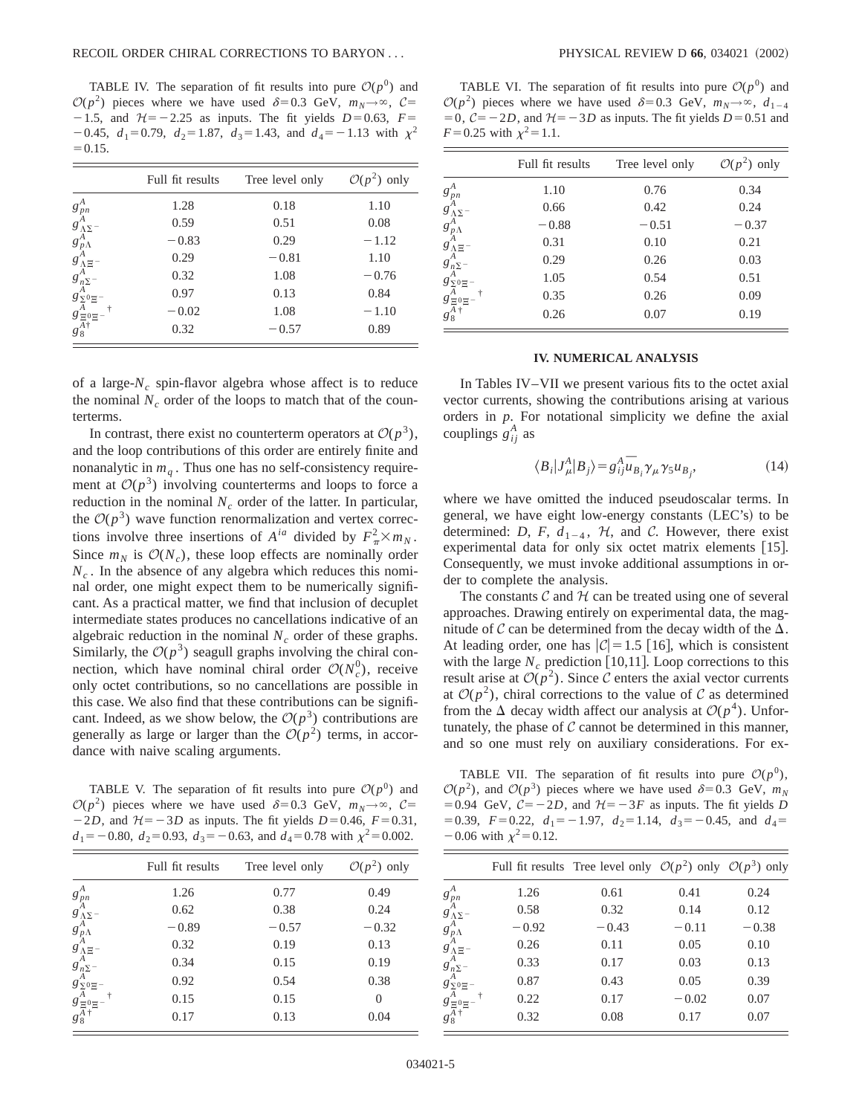TABLE IV. The separation of fit results into pure  $\mathcal{O}(p^0)$  and  $\mathcal{O}(p^2)$  pieces where we have used  $\delta=0.3$  GeV,  $m_N\rightarrow\infty$ ,  $\mathcal{C}=$  $-1.5$ , and  $H=-2.25$  as inputs. The fit yields  $D=0.63$ ,  $F=$  $-0.45$ ,  $d_1=0.79$ ,  $d_2=1.87$ ,  $d_3=1.43$ , and  $d_4=-1.13$  with  $\chi^2$  $=0.15.$ 

|                                                                                                                                                                                               | Full fit results | Tree level only | $\mathcal{O}(p^2)$ only |
|-----------------------------------------------------------------------------------------------------------------------------------------------------------------------------------------------|------------------|-----------------|-------------------------|
|                                                                                                                                                                                               | 1.28             | 0.18            | 1.10                    |
| $g^{A}_{\  \, A} \, g^{A}_{\Lambda \Sigma}$<br>$g^{A}_{\Lambda \Sigma}$<br>$g^{A}_{\Lambda \Xi}$<br>$g^{A}_{\Lambda \Xi}$<br>$g^{A}_{\Sigma^0 \Xi}$<br>$g^{A}_{\Xi^0 \Xi}$<br>$g^{A}_{\Xi^+}$ | 0.59             | 0.51            | 0.08                    |
|                                                                                                                                                                                               | $-0.83$          | 0.29            | $-1.12$                 |
|                                                                                                                                                                                               | 0.29             | $-0.81$         | 1.10                    |
|                                                                                                                                                                                               | 0.32             | 1.08            | $-0.76$                 |
|                                                                                                                                                                                               | 0.97             | 0.13            | 0.84                    |
|                                                                                                                                                                                               | $-0.02$          | 1.08            | $-1.10$                 |
|                                                                                                                                                                                               | 0.32             | $-0.57$         | 0.89                    |

of a large- $N_c$  spin-flavor algebra whose affect is to reduce the nominal  $N_c$  order of the loops to match that of the counterterms.

In contrast, there exist no counterterm operators at  $\mathcal{O}(p^3)$ , and the loop contributions of this order are entirely finite and nonanalytic in  $m_q$ . Thus one has no self-consistency requirement at  $O(p^3)$  involving counterterms and loops to force a reduction in the nominal  $N_c$  order of the latter. In particular, the  $O(p^3)$  wave function renormalization and vertex corrections involve three insertions of  $A^{ia}$  divided by  $F^2_{\pi} \times m_N$ . Since  $m_N$  is  $\mathcal{O}(N_c)$ , these loop effects are nominally order  $N_c$ . In the absence of any algebra which reduces this nominal order, one might expect them to be numerically significant. As a practical matter, we find that inclusion of decuplet intermediate states produces no cancellations indicative of an algebraic reduction in the nominal  $N_c$  order of these graphs. Similarly, the  $\mathcal{O}(p^3)$  seagull graphs involving the chiral connection, which have nominal chiral order  $O(N_c^0)$ , receive only octet contributions, so no cancellations are possible in this case. We also find that these contributions can be significant. Indeed, as we show below, the  $O(p^3)$  contributions are generally as large or larger than the  $O(p^2)$  terms, in accordance with naive scaling arguments.

TABLE V. The separation of fit results into pure  $\mathcal{O}(p^0)$  and  $\mathcal{O}(p^2)$  pieces where we have used  $\delta=0.3$  GeV,  $m_N\rightarrow\infty$ ,  $\mathcal{C}=$  $-2D$ , and  $H=-3D$  as inputs. The fit yields  $D=0.46$ ,  $F=0.31$ ,  $d_1 = -0.80$ ,  $d_2 = 0.93$ ,  $d_3 = -0.63$ , and  $d_4 = 0.78$  with  $\chi^2 = 0.002$ .

|                                                                                              | Full fit results | Tree level only | $\mathcal{O}(p^2)$ only |
|----------------------------------------------------------------------------------------------|------------------|-----------------|-------------------------|
|                                                                                              | 1.26             | 0.77            | 0.49                    |
| $g_{pn}^A$<br>$g_{\Lambda\Sigma}^A -$<br>$g_{p\Lambda}^A$                                    | 0.62             | 0.38            | 0.24                    |
|                                                                                              | $-0.89$          | $-0.57$         | $-0.32$                 |
| $g^A_{\Lambda \Xi}$ -                                                                        | 0.32             | 0.19            | 0.13                    |
| $g_{n\Sigma}^A$ -                                                                            | 0.34             | 0.15            | 0.19                    |
| $g_{\Sigma^0 \Xi^-}^A$                                                                       | 0.92             | 0.54            | 0.38                    |
|                                                                                              | 0.15             | 0.15            | 0                       |
| $\begin{array}{l} \xi\frac{A}{\Xi}{}^{0}\Xi^-\qquad \\ g\frac{A}{8}{}^{\dagger} \end{array}$ | 0.17             | 0.13            | 0.04                    |
|                                                                                              |                  |                 |                         |

TABLE VI. The separation of fit results into pure  $\mathcal{O}(p^0)$  and  $\mathcal{O}(p^2)$  pieces where we have used  $\delta=0.3$  GeV,  $m_N \rightarrow \infty$ ,  $d_{1-4}$  $=0, \mathcal{C}=-2D$ , and  $\mathcal{H}=-3D$  as inputs. The fit yields  $D=0.51$  and  $F=0.25$  with  $\chi^2=1.1$ .

|                                                                                                                                                                                                                      | Full fit results | Tree level only | $\mathcal{O}(p^2)$ only |
|----------------------------------------------------------------------------------------------------------------------------------------------------------------------------------------------------------------------|------------------|-----------------|-------------------------|
|                                                                                                                                                                                                                      | 1.10             | 0.76            | 0.34                    |
|                                                                                                                                                                                                                      | 0.66             | 0.42            | 0.24                    |
|                                                                                                                                                                                                                      | $-0.88$          | $-0.51$         | $-0.37$                 |
|                                                                                                                                                                                                                      | 0.31             | 0.10            | 0.21                    |
|                                                                                                                                                                                                                      | 0.29             | 0.26            | 0.03                    |
|                                                                                                                                                                                                                      | 1.05             | 0.54            | 0.51                    |
|                                                                                                                                                                                                                      | 0.35             | 0.26            | 0.09                    |
| $g^{A}_{pn}$<br>$g^{A}_{\Lambda\Sigma}$ -<br>$g^{A}_{\Lambda}$<br>$g^{A}_{\Lambda}$<br>$g^{A}_{\Lambda}$<br>$g^{A}_{\Sigma}$<br>$g^{A}_{\Sigma}$<br>$g^{A}_{\Xi}$<br>$g^{A}_{\Xi}$<br>$g^{A}_{\Xi}$<br>$g^{A}_{\Xi}$ | 0.26             | 0.07            | 0.19                    |

### **IV. NUMERICAL ANALYSIS**

In Tables IV–VII we present various fits to the octet axial vector currents, showing the contributions arising at various orders in *p*. For notational simplicity we define the axial couplings  $g_{ij}^A$  as

$$
\langle B_i | J^A_\mu | B_j \rangle = g^A_{ij} \overline{u}_{B_i} \gamma_\mu \gamma_5 u_{B_j}, \tag{14}
$$

where we have omitted the induced pseudoscalar terms. In general, we have eight low-energy constants  $(LEC's)$  to be determined: *D*, *F*,  $d_{1-4}$ , *H*, and *C*. However, there exist experimental data for only six octet matrix elements  $[15]$ . Consequently, we must invoke additional assumptions in order to complete the analysis.

The constants  $\mathcal C$  and  $\mathcal H$  can be treated using one of several approaches. Drawing entirely on experimental data, the magnitude of C can be determined from the decay width of the  $\Delta$ . At leading order, one has  $|\mathcal{C}| = 1.5$  [16], which is consistent with the large  $N_c$  prediction [10,11]. Loop corrections to this result arise at  $\mathcal{O}(p^2)$ . Since C enters the axial vector currents at  $\mathcal{O}(p^2)$ , chiral corrections to the value of C as determined from the  $\Delta$  decay width affect our analysis at  $\mathcal{O}(p^4)$ . Unfortunately, the phase of  $C$  cannot be determined in this manner, and so one must rely on auxiliary considerations. For ex-

TABLE VII. The separation of fit results into pure  $\mathcal{O}(p^0)$ ,  $\mathcal{O}(p^2)$ , and  $\mathcal{O}(p^3)$  pieces where we have used  $\delta = 0.3$  GeV,  $m_N$ = 0.94 GeV,  $C=-2D$ , and  $H=-3F$  as inputs. The fit yields *D*  $=0.39$ ,  $F=0.22$ ,  $d_1=-1.97$ ,  $d_2=1.14$ ,  $d_3=-0.45$ , and  $d_4=$  $-0.06$  with  $\chi^2$ =0.12.

|                                                                                         |         | Full fit results Tree level only $O(p^2)$ only $O(p^3)$ only |         |         |
|-----------------------------------------------------------------------------------------|---------|--------------------------------------------------------------|---------|---------|
|                                                                                         | 1.26    | 0.61                                                         | 0.41    | 0.24    |
| $g_{\stackrel{A}{\rho_{\Lambda\Sigma}-}}^{A}$<br>$g_{\stackrel{A}{\rho_{\Lambda}}}^{A}$ | 0.58    | 0.32                                                         | 0.14    | 0.12    |
|                                                                                         | $-0.92$ | $-0.43$                                                      | $-0.11$ | $-0.38$ |
| $g^A_{\Lambda \Xi}$ -                                                                   | 0.26    | 0.11                                                         | 0.05    | 0.10    |
|                                                                                         | 0.33    | 0.17                                                         | 0.03    | 0.13    |
| $g^A_{n\Sigma^-}$<br>$g^A_{\Sigma^0\Xi^-}$                                              | 0.87    | 0.43                                                         | 0.05    | 0.39    |
| $g^A_{\Xi^0\Xi^-}$                                                                      | 0.22    | 0.17                                                         | $-0.02$ | 0.07    |
| $g_8^A$ †                                                                               | 0.32    | 0.08                                                         | 0.17    | 0.07    |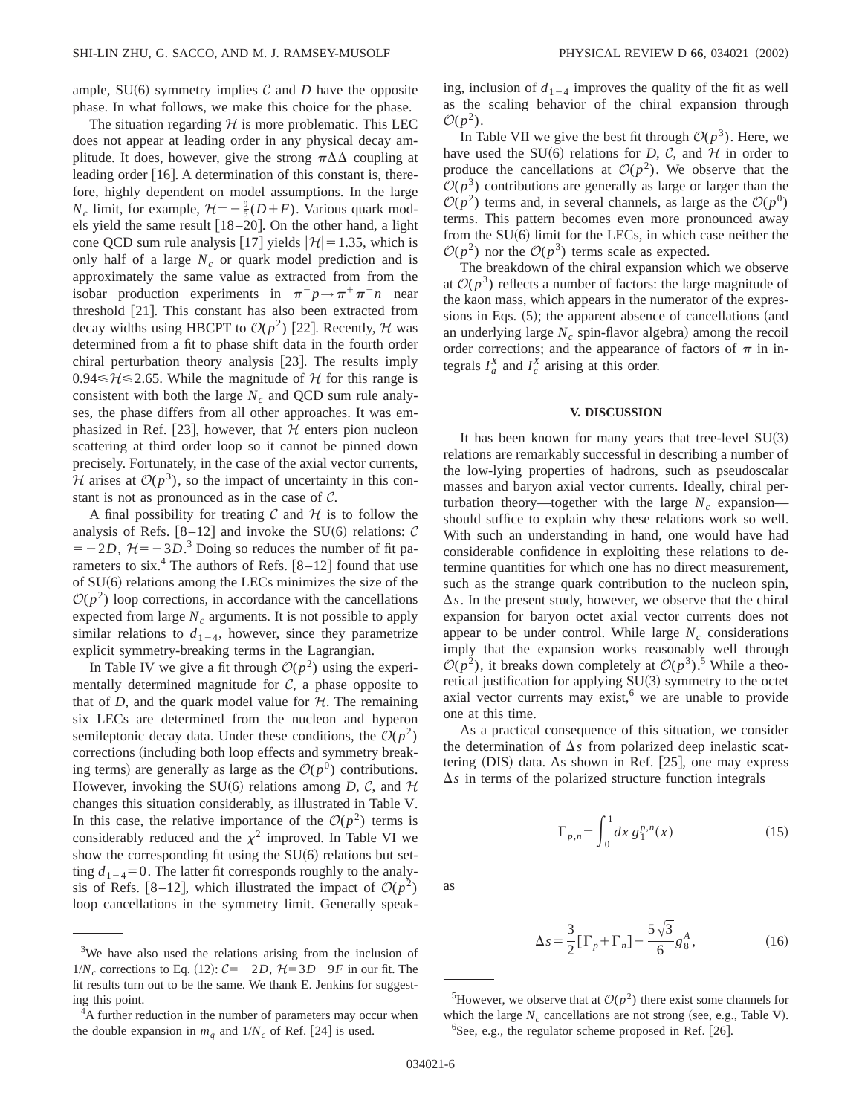ample,  $SU(6)$  symmetry implies C and D have the opposite phase. In what follows, we make this choice for the phase.

The situation regarding  $H$  is more problematic. This LEC does not appear at leading order in any physical decay amplitude. It does, however, give the strong  $\pi\Delta\Delta$  coupling at leading order  $[16]$ . A determination of this constant is, therefore, highly dependent on model assumptions. In the large  $N_c$  limit, for example,  $\mathcal{H} = -\frac{9}{5}(D+F)$ . Various quark models yield the same result  $[18–20]$ . On the other hand, a light cone QCD sum rule analysis [17] yields  $|\mathcal{H}| = 1.35$ , which is only half of a large  $N_c$  or quark model prediction and is approximately the same value as extracted from from the isobar production experiments in  $\pi^- p \rightarrow \pi^+ \pi^- n$  near threshold  $[21]$ . This constant has also been extracted from decay widths using HBCPT to  $\mathcal{O}(p^2)$  [22]. Recently, H was determined from a fit to phase shift data in the fourth order chiral perturbation theory analysis [23]. The results imply 0.94  $\leq \mathcal{H} \leq 2.65$ . While the magnitude of  $\mathcal{H}$  for this range is consistent with both the large  $N_c$  and QCD sum rule analyses, the phase differs from all other approaches. It was emphasized in Ref. [23], however, that  $H$  enters pion nucleon scattering at third order loop so it cannot be pinned down precisely. Fortunately, in the case of the axial vector currents, H arises at  $O(p^3)$ , so the impact of uncertainty in this constant is not as pronounced as in the case of C.

A final possibility for treating  $\mathcal C$  and  $\mathcal H$  is to follow the analysis of Refs.  $[8-12]$  and invoke the SU(6) relations: C  $=-2D$ ,  $\mathcal{H}=-3D$ <sup>3</sup>. Doing so reduces the number of fit parameters to six.<sup>4</sup> The authors of Refs.  $[8-12]$  found that use of  $SU(6)$  relations among the LECs minimizes the size of the  $\mathcal{O}(p^2)$  loop corrections, in accordance with the cancellations expected from large  $N_c$  arguments. It is not possible to apply similar relations to  $d_{1-4}$ , however, since they parametrize explicit symmetry-breaking terms in the Lagrangian.

In Table IV we give a fit through  $O(p^2)$  using the experimentally determined magnitude for  $C$ , a phase opposite to that of *D*, and the quark model value for  $H$ . The remaining six LECs are determined from the nucleon and hyperon semileptonic decay data. Under these conditions, the  $O(p^2)$ corrections (including both loop effects and symmetry breaking terms) are generally as large as the  $\mathcal{O}(p^0)$  contributions. However, invoking the SU(6) relations among *D*, *C*, and  $H$ changes this situation considerably, as illustrated in Table V. In this case, the relative importance of the  $O(p^2)$  terms is considerably reduced and the  $\chi^2$  improved. In Table VI we show the corresponding fit using the  $SU(6)$  relations but setting  $d_{1-4}$ =0. The latter fit corresponds roughly to the analysis of Refs. [8–12], which illustrated the impact of  $\mathcal{O}(p^2)$ loop cancellations in the symmetry limit. Generally speaking, inclusion of  $d_{1-4}$  improves the quality of the fit as well as the scaling behavior of the chiral expansion through  $\mathcal{O}(p^2)$ .

In Table VII we give the best fit through  $O(p^3)$ . Here, we have used the SU $(6)$  relations for *D*, *C*, and *H* in order to produce the cancellations at  $\mathcal{O}(p^2)$ . We observe that the  $\mathcal{O}(p^3)$  contributions are generally as large or larger than the  $\mathcal{O}(p^2)$  terms and, in several channels, as large as the  $\mathcal{O}(p^0)$ terms. This pattern becomes even more pronounced away from the  $SU(6)$  limit for the LECs, in which case neither the  $\mathcal{O}(p^2)$  nor the  $\mathcal{O}(p^3)$  terms scale as expected.

The breakdown of the chiral expansion which we observe at  $\mathcal{O}(p^3)$  reflects a number of factors: the large magnitude of the kaon mass, which appears in the numerator of the expressions in Eqs.  $(5)$ ; the apparent absence of cancellations (and an underlying large  $N_c$  spin-flavor algebra) among the recoil order corrections; and the appearance of factors of  $\pi$  in integrals  $I_a^X$  and  $I_c^X$  arising at this order.

## **V. DISCUSSION**

It has been known for many years that tree-level  $SU(3)$ relations are remarkably successful in describing a number of the low-lying properties of hadrons, such as pseudoscalar masses and baryon axial vector currents. Ideally, chiral perturbation theory—together with the large  $N_c$  expansion should suffice to explain why these relations work so well. With such an understanding in hand, one would have had considerable confidence in exploiting these relations to determine quantities for which one has no direct measurement, such as the strange quark contribution to the nucleon spin,  $\Delta s$ . In the present study, however, we observe that the chiral expansion for baryon octet axial vector currents does not appear to be under control. While large  $N_c$  considerations imply that the expansion works reasonably well through  $\mathcal{O}(p^2)$ , it breaks down completely at  $\mathcal{O}(p^3)$ .<sup>5</sup> While a theoretical justification for applying  $SU(3)$  symmetry to the octet axial vector currents may exist, $6$  we are unable to provide one at this time.

As a practical consequence of this situation, we consider the determination of  $\Delta s$  from polarized deep inelastic scattering  $(DIS)$  data. As shown in Ref. [25], one may express  $\Delta s$  in terms of the polarized structure function integrals

$$
\Gamma_{p,n} = \int_0^1 dx \, g_1^{p,n}(x) \tag{15}
$$

as

$$
\Delta s = \frac{3}{2} [\Gamma_p + \Gamma_n] - \frac{5\sqrt{3}}{6} g_8^A,
$$
 (16)

 $1/N_c$  corrections to Eq. (12):  $C = -2D$ ,  $H = 3D - 9F$  in our fit. The fit results turn out to be the same. We thank E. Jenkins for suggesting this point.

 $4A$  further reduction in the number of parameters may occur when the double expansion in  $m_q$  and  $1/N_c$  of Ref. [24] is used.

<sup>&</sup>lt;sup>5</sup>However, we observe that at  $O(p^2)$  there exist some channels for which the large  $N_c$  cancellations are not strong (see, e.g., Table V).  ${}^{6}$ See, e.g., the regulator scheme proposed in Ref. [26].